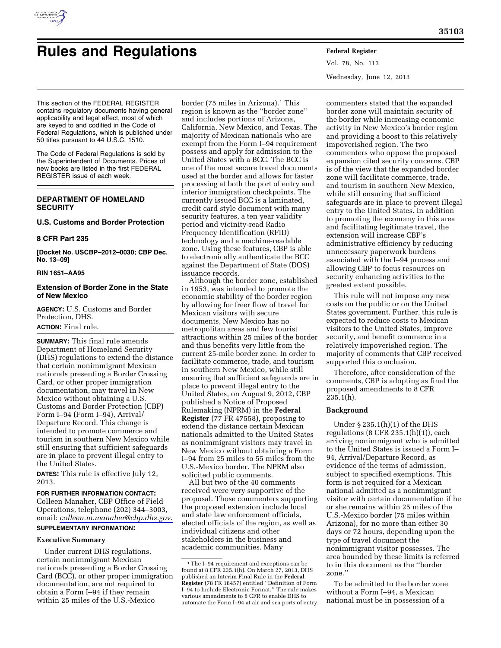

# **Rules and Regulations Federal Register**

Vol. 78, No. 113 Wednesday, June 12, 2013

This section of the FEDERAL REGISTER contains regulatory documents having general applicability and legal effect, most of which are keyed to and codified in the Code of Federal Regulations, which is published under 50 titles pursuant to 44 U.S.C. 1510.

The Code of Federal Regulations is sold by the Superintendent of Documents. Prices of new books are listed in the first FEDERAL REGISTER issue of each week.

# **DEPARTMENT OF HOMELAND SECURITY**

# **U.S. Customs and Border Protection**

#### **8 CFR Part 235**

**[Docket No. USCBP–2012–0030; CBP Dec. No. 13–09]** 

# **RIN 1651–AA95**

# **Extension of Border Zone in the State of New Mexico**

**AGENCY:** U.S. Customs and Border Protection, DHS. **ACTION:** Final rule.

**SUMMARY:** This final rule amends Department of Homeland Security (DHS) regulations to extend the distance that certain nonimmigrant Mexican nationals presenting a Border Crossing Card, or other proper immigration documentation, may travel in New Mexico without obtaining a U.S. Customs and Border Protection (CBP) Form I–94 (Form I–94), Arrival/ Departure Record. This change is intended to promote commerce and tourism in southern New Mexico while still ensuring that sufficient safeguards are in place to prevent illegal entry to the United States.

**DATES:** This rule is effective July 12, 2013.

# **FOR FURTHER INFORMATION CONTACT:**  Colleen Manaher, CBP Office of Field Operations, telephone (202) 344–3003, email: *[colleen.m.manaher@cbp.dhs.gov.](mailto:colleen.m.manaher@cbp.dhs.gov)*  **SUPPLEMENTARY INFORMATION:**

# **Executive Summary**

Under current DHS regulations, certain nonimmigrant Mexican nationals presenting a Border Crossing Card (BCC), or other proper immigration documentation, are not required to obtain a Form I–94 if they remain within 25 miles of the U.S.-Mexico

border (75 miles in Arizona).<sup>1</sup> This region is known as the ''border zone'' and includes portions of Arizona, California, New Mexico, and Texas. The majority of Mexican nationals who are exempt from the Form I–94 requirement possess and apply for admission to the United States with a BCC. The BCC is one of the most secure travel documents used at the border and allows for faster processing at both the port of entry and interior immigration checkpoints. The currently issued BCC is a laminated, credit card style document with many security features, a ten year validity period and vicinity-read Radio Frequency Identification (RFID) technology and a machine-readable zone. Using these features, CBP is able to electronically authenticate the BCC against the Department of State (DOS) issuance records.

Although the border zone, established in 1953, was intended to promote the economic stability of the border region by allowing for freer flow of travel for Mexican visitors with secure documents, New Mexico has no metropolitan areas and few tourist attractions within 25 miles of the border and thus benefits very little from the current 25-mile border zone. In order to facilitate commerce, trade, and tourism in southern New Mexico, while still ensuring that sufficient safeguards are in place to prevent illegal entry to the United States, on August 9, 2012, CBP published a Notice of Proposed Rulemaking (NPRM) in the **Federal Register** (77 FR 47558), proposing to extend the distance certain Mexican nationals admitted to the United States as nonimmigrant visitors may travel in New Mexico without obtaining a Form I–94 from 25 miles to 55 miles from the U.S.-Mexico border. The NPRM also solicited public comments.

All but two of the 40 comments received were very supportive of the proposal. Those commenters supporting the proposed extension include local and state law enforcement officials, elected officials of the region, as well as individual citizens and other stakeholders in the business and academic communities. Many

commenters stated that the expanded border zone will maintain security of the border while increasing economic activity in New Mexico's border region and providing a boost to this relatively impoverished region. The two commenters who oppose the proposed expansion cited security concerns. CBP is of the view that the expanded border zone will facilitate commerce, trade, and tourism in southern New Mexico, while still ensuring that sufficient safeguards are in place to prevent illegal entry to the United States. In addition to promoting the economy in this area and facilitating legitimate travel, the extension will increase CBP's administrative efficiency by reducing unnecessary paperwork burdens associated with the I–94 process and allowing CBP to focus resources on security enhancing activities to the greatest extent possible.

This rule will not impose any new costs on the public or on the United States government. Further, this rule is expected to reduce costs to Mexican visitors to the United States, improve security, and benefit commerce in a relatively impoverished region. The majority of comments that CBP received supported this conclusion.

Therefore, after consideration of the comments, CBP is adopting as final the proposed amendments to 8 CFR  $235.1(h)$ .

### **Background**

Under § 235.1(h)(1) of the DHS regulations (8 CFR  $235.1(h)(1)$ ), each arriving nonimmigrant who is admitted to the United States is issued a Form I– 94, Arrival/Departure Record, as evidence of the terms of admission, subject to specified exemptions. This form is not required for a Mexican national admitted as a nonimmigrant visitor with certain documentation if he or she remains within 25 miles of the U.S.-Mexico border (75 miles within Arizona), for no more than either 30 days or 72 hours, depending upon the type of travel document the nonimmigrant visitor possesses. The area bounded by these limits is referred to in this document as the ''border zone.''

To be admitted to the border zone without a Form I–94, a Mexican national must be in possession of a

<sup>1</sup>The I–94 requirement and exceptions can be found at 8 CFR 235.1(h). On March 27, 2013, DHS published an Interim Final Rule in the **Federal Register** (78 FR 18457) entitled ''Definition of Form I–94 to Include Electronic Format.'' The rule makes various amendments to 8 CFR to enable DHS to automate the Form I–94 at air and sea ports of entry.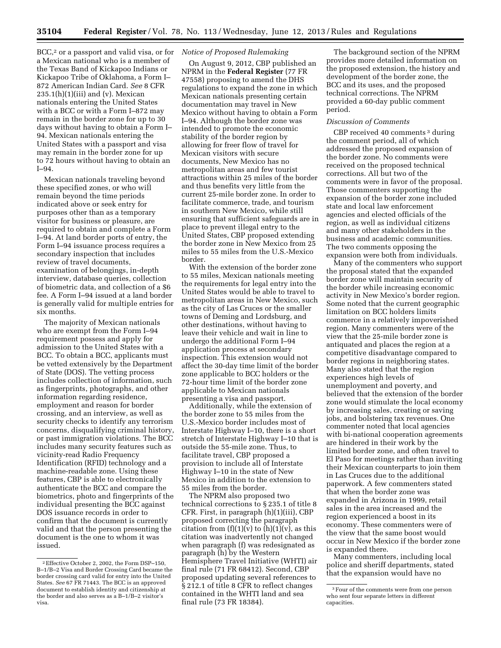BCC,<sup>2</sup> or a passport and valid visa, or for a Mexican national who is a member of the Texas Band of Kickapoo Indians or Kickapoo Tribe of Oklahoma, a Form I– 872 American Indian Card. *See* 8 CFR  $235.1(h)(1)(iii)$  and (v). Mexican nationals entering the United States with a BCC or with a Form I–872 may remain in the border zone for up to 30 days without having to obtain a Form I– 94. Mexican nationals entering the United States with a passport and visa may remain in the border zone for up to 72 hours without having to obtain an I–94.

Mexican nationals traveling beyond these specified zones, or who will remain beyond the time periods indicated above or seek entry for purposes other than as a temporary visitor for business or pleasure, are required to obtain and complete a Form I–94. At land border ports of entry, the Form I–94 issuance process requires a secondary inspection that includes review of travel documents, examination of belongings, in-depth interview, database queries, collection of biometric data, and collection of a \$6 fee. A Form I–94 issued at a land border is generally valid for multiple entries for six months.

The majority of Mexican nationals who are exempt from the Form I–94 requirement possess and apply for admission to the United States with a BCC. To obtain a BCC, applicants must be vetted extensively by the Department of State (DOS). The vetting process includes collection of information, such as fingerprints, photographs, and other information regarding residence, employment and reason for border crossing, and an interview, as well as security checks to identify any terrorism concerns, disqualifying criminal history, or past immigration violations. The BCC includes many security features such as vicinity-read Radio Frequency Identification (RFID) technology and a machine-readable zone. Using these features, CBP is able to electronically authenticate the BCC and compare the biometrics, photo and fingerprints of the individual presenting the BCC against DOS issuance records in order to confirm that the document is currently valid and that the person presenting the document is the one to whom it was issued.

# *Notice of Proposed Rulemaking*

On August 9, 2012, CBP published an NPRM in the **Federal Register** (77 FR 47558) proposing to amend the DHS regulations to expand the zone in which Mexican nationals presenting certain documentation may travel in New Mexico without having to obtain a Form I–94. Although the border zone was intended to promote the economic stability of the border region by allowing for freer flow of travel for Mexican visitors with secure documents, New Mexico has no metropolitan areas and few tourist attractions within 25 miles of the border and thus benefits very little from the current 25-mile border zone. In order to facilitate commerce, trade, and tourism in southern New Mexico, while still ensuring that sufficient safeguards are in place to prevent illegal entry to the United States, CBP proposed extending the border zone in New Mexico from 25 miles to 55 miles from the U.S.-Mexico border.

With the extension of the border zone to 55 miles, Mexican nationals meeting the requirements for legal entry into the United States would be able to travel to metropolitan areas in New Mexico, such as the city of Las Cruces or the smaller towns of Deming and Lordsburg, and other destinations, without having to leave their vehicle and wait in line to undergo the additional Form I–94 application process at secondary inspection. This extension would not affect the 30-day time limit of the border zone applicable to BCC holders or the 72-hour time limit of the border zone applicable to Mexican nationals presenting a visa and passport.

Additionally, while the extension of the border zone to 55 miles from the U.S.-Mexico border includes most of Interstate Highway I–10, there is a short stretch of Interstate Highway I–10 that is outside the 55-mile zone. Thus, to facilitate travel, CBP proposed a provision to include all of Interstate Highway I–10 in the state of New Mexico in addition to the extension to 55 miles from the border.

The NPRM also proposed two technical corrections to § 235.1 of title 8 CFR. First, in paragraph (h)(1)(iii), CBP proposed correcting the paragraph citation from  $(f)(1)(v)$  to  $(h)(1)(v)$ , as this citation was inadvertently not changed when paragraph (f) was redesignated as paragraph (h) by the Western Hemisphere Travel Initiative (WHTI) air final rule (71 FR 68412). Second, CBP proposed updating several references to § 212.1 of title 8 CFR to reflect changes contained in the WHTI land and sea final rule (73 FR 18384).

The background section of the NPRM provides more detailed information on the proposed extension, the history and development of the border zone, the BCC and its uses, and the proposed technical corrections. The NPRM provided a 60-day public comment period.

#### *Discussion of Comments*

CBP received 40 comments 3 during the comment period, all of which addressed the proposed expansion of the border zone. No comments were received on the proposed technical corrections. All but two of the comments were in favor of the proposal. Those commenters supporting the expansion of the border zone included state and local law enforcement agencies and elected officials of the region, as well as individual citizens and many other stakeholders in the business and academic communities. The two comments opposing the expansion were both from individuals.

Many of the commenters who support the proposal stated that the expanded border zone will maintain security of the border while increasing economic activity in New Mexico's border region. Some noted that the current geographic limitation on BCC holders limits commerce in a relatively impoverished region. Many commenters were of the view that the 25-mile border zone is antiquated and places the region at a competitive disadvantage compared to border regions in neighboring states. Many also stated that the region experiences high levels of unemployment and poverty, and believed that the extension of the border zone would stimulate the local economy by increasing sales, creating or saving jobs, and bolstering tax revenues. One commenter noted that local agencies with bi-national cooperation agreements are hindered in their work by the limited border zone, and often travel to El Paso for meetings rather than inviting their Mexican counterparts to join them in Las Cruces due to the additional paperwork. A few commenters stated that when the border zone was expanded in Arizona in 1999, retail sales in the area increased and the region experienced a boost in its economy. These commenters were of the view that the same boost would occur in New Mexico if the border zone is expanded there.

Many commenters, including local police and sheriff departments, stated that the expansion would have no

<sup>2</sup>Effective October 2, 2002, the Form DSP–150, B–1/B–2 Visa and Border Crossing Card became the border crossing card valid for entry into the United States. *See* 67 FR 71443. The BCC is an approved document to establish identity and citizenship at the border and also serves as a B–1/B–2 visitor's visa.

<sup>3</sup>Four of the comments were from one person who sent four separate letters in different capacities.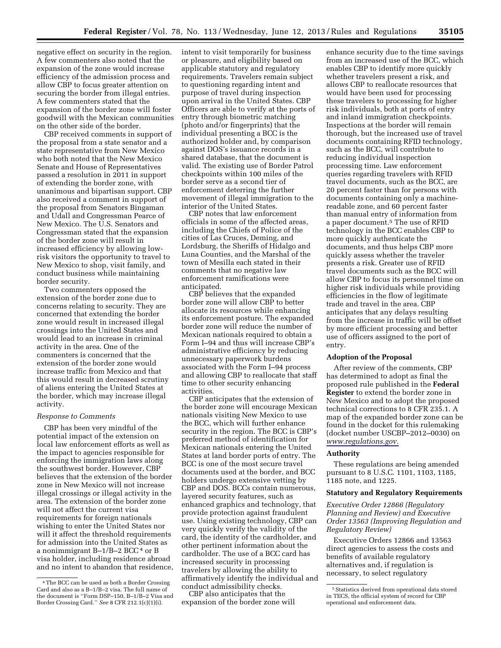negative effect on security in the region. A few commenters also noted that the expansion of the zone would increase efficiency of the admission process and allow CBP to focus greater attention on securing the border from illegal entries. A few commenters stated that the expansion of the border zone will foster goodwill with the Mexican communities on the other side of the border.

CBP received comments in support of the proposal from a state senator and a state representative from New Mexico who both noted that the New Mexico Senate and House of Representatives passed a resolution in 2011 in support of extending the border zone, with unanimous and bipartisan support. CBP also received a comment in support of the proposal from Senators Bingaman and Udall and Congressman Pearce of New Mexico. The U.S. Senators and Congressman stated that the expansion of the border zone will result in increased efficiency by allowing lowrisk visitors the opportunity to travel to New Mexico to shop, visit family, and conduct business while maintaining border security.

Two commenters opposed the extension of the border zone due to concerns relating to security. They are concerned that extending the border zone would result in increased illegal crossings into the United States and would lead to an increase in criminal activity in the area. One of the commenters is concerned that the extension of the border zone would increase traffic from Mexico and that this would result in decreased scrutiny of aliens entering the United States at the border, which may increase illegal activity.

#### *Response to Comments*

CBP has been very mindful of the potential impact of the extension on local law enforcement efforts as well as the impact to agencies responsible for enforcing the immigration laws along the southwest border. However, CBP believes that the extension of the border zone in New Mexico will not increase illegal crossings or illegal activity in the area. The extension of the border zone will not affect the current visa requirements for foreign nationals wishing to enter the United States nor will it affect the threshold requirements for admission into the United States as a nonimmigrant  $B-1/B-2$  BCC<sup>4</sup> or B visa holder, including residence abroad and no intent to abandon that residence, intent to visit temporarily for business or pleasure, and eligibility based on applicable statutory and regulatory requirements. Travelers remain subject to questioning regarding intent and purpose of travel during inspection upon arrival in the United States. CBP Officers are able to verify at the ports of entry through biometric matching (photo and/or fingerprints) that the individual presenting a BCC is the authorized holder and, by comparison against DOS's issuance records in a shared database, that the document is valid. The existing use of Border Patrol checkpoints within 100 miles of the border serve as a second tier of enforcement deterring the further movement of illegal immigration to the interior of the United States.

CBP notes that law enforcement officials in some of the affected areas, including the Chiefs of Police of the cities of Las Cruces, Deming, and Lordsburg, the Sheriffs of Hidalgo and Luna Counties, and the Marshal of the town of Mesilla each stated in their comments that no negative law enforcement ramifications were anticipated.

CBP believes that the expanded border zone will allow CBP to better allocate its resources while enhancing its enforcement posture. The expanded border zone will reduce the number of Mexican nationals required to obtain a Form I–94 and thus will increase CBP's administrative efficiency by reducing unnecessary paperwork burdens associated with the Form I–94 process and allowing CBP to reallocate that staff time to other security enhancing activities.

CBP anticipates that the extension of the border zone will encourage Mexican nationals visiting New Mexico to use the BCC, which will further enhance security in the region. The BCC is CBP's preferred method of identification for Mexican nationals entering the United States at land border ports of entry. The BCC is one of the most secure travel documents used at the border, and BCC holders undergo extensive vetting by CBP and DOS. BCCs contain numerous, layered security features, such as enhanced graphics and technology, that provide protection against fraudulent use. Using existing technology, CBP can very quickly verify the validity of the card, the identity of the cardholder, and other pertinent information about the cardholder. The use of a BCC card has increased security in processing travelers by allowing the ability to affirmatively identify the individual and conduct admissibility checks.

CBP also anticipates that the expansion of the border zone will

enhance security due to the time savings from an increased use of the BCC, which enables CBP to identify more quickly whether travelers present a risk, and allows CBP to reallocate resources that would have been used for processing these travelers to processing for higher risk individuals, both at ports of entry and inland immigration checkpoints. Inspections at the border will remain thorough, but the increased use of travel documents containing RFID technology, such as the BCC, will contribute to reducing individual inspection processing time. Law enforcement queries regarding travelers with RFID travel documents, such as the BCC, are 20 percent faster than for persons with documents containing only a machinereadable zone, and 60 percent faster than manual entry of information from a paper document.5 The use of RFID technology in the BCC enables CBP to more quickly authenticate the documents, and thus helps CBP more quickly assess whether the traveler presents a risk. Greater use of RFID travel documents such as the BCC will allow CBP to focus its personnel time on higher risk individuals while providing efficiencies in the flow of legitimate trade and travel in the area. CBP anticipates that any delays resulting from the increase in traffic will be offset by more efficient processing and better use of officers assigned to the port of entry.

#### **Adoption of the Proposal**

After review of the comments, CBP has determined to adopt as final the proposed rule published in the **Federal Register** to extend the border zone in New Mexico and to adopt the proposed technical corrections to 8 CFR 235.1. A map of the expanded border zone can be found in the docket for this rulemaking (docket number USCBP–2012–0030) on *[www.regulations.gov.](http://www.regulations.gov)* 

# **Authority**

These regulations are being amended pursuant to 8 U.S.C. 1101, 1103, 1185, 1185 note, and 1225.

#### **Statutory and Regulatory Requirements**

*Executive Order 12866 (Regulatory Planning and Review) and Executive Order 13563 (Improving Regulation and Regulatory Review)* 

Executive Orders 12866 and 13563 direct agencies to assess the costs and benefits of available regulatory alternatives and, if regulation is necessary, to select regulatory

<sup>4</sup>The BCC can be used as both a Border Crossing Card and also as a B–1/B–2 visa. The full name of the document is ''Form DSP–150, B–1/B–2 Visa and Border Crossing Card.'' *See* 8 CFR 212.1(c)(1)(i).

<sup>&</sup>lt;sup>5</sup> Statistics derived from operational data stored in TECS, the official system of record for CBP operational and enforcement data.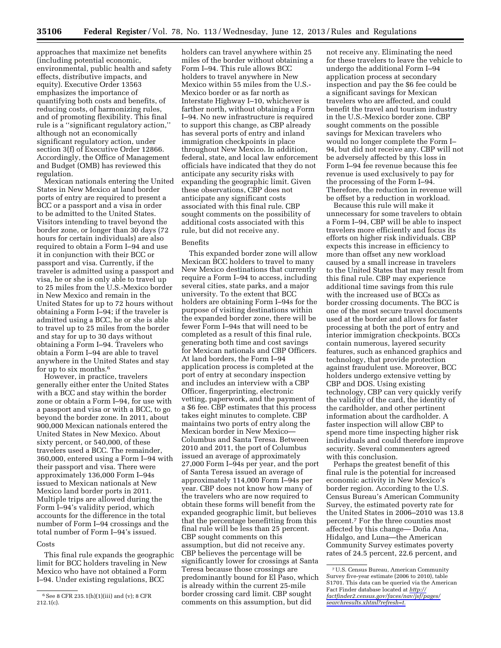approaches that maximize net benefits (including potential economic, environmental, public health and safety effects, distributive impacts, and equity). Executive Order 13563 emphasizes the importance of quantifying both costs and benefits, of reducing costs, of harmonizing rules, and of promoting flexibility. This final rule is a ''significant regulatory action,'' although not an economically significant regulatory action, under section 3(f) of Executive Order 12866. Accordingly, the Office of Management and Budget (OMB) has reviewed this regulation.

Mexican nationals entering the United States in New Mexico at land border ports of entry are required to present a BCC or a passport and a visa in order to be admitted to the United States. Visitors intending to travel beyond the border zone, or longer than 30 days (72 hours for certain individuals) are also required to obtain a Form I–94 and use it in conjunction with their BCC or passport and visa. Currently, if the traveler is admitted using a passport and visa, he or she is only able to travel up to 25 miles from the U.S.-Mexico border in New Mexico and remain in the United States for up to 72 hours without obtaining a Form I–94; if the traveler is admitted using a BCC, he or she is able to travel up to 25 miles from the border and stay for up to 30 days without obtaining a Form I–94. Travelers who obtain a Form I–94 are able to travel anywhere in the United States and stay for up to six months.6

However, in practice, travelers generally either enter the United States with a BCC and stay within the border zone or obtain a Form I–94, for use with a passport and visa or with a BCC, to go beyond the border zone. In 2011, about 900,000 Mexican nationals entered the United States in New Mexico. About sixty percent, or 540,000, of these travelers used a BCC. The remainder, 360,000, entered using a Form I–94 with their passport and visa. There were approximately 136,000 Form I–94s issued to Mexican nationals at New Mexico land border ports in 2011. Multiple trips are allowed during the Form I–94's validity period, which accounts for the difference in the total number of Form I–94 crossings and the total number of Form I–94's issued.

#### Costs

This final rule expands the geographic limit for BCC holders traveling in New Mexico who have not obtained a Form I–94. Under existing regulations, BCC

holders can travel anywhere within 25 miles of the border without obtaining a Form I–94. This rule allows BCC holders to travel anywhere in New Mexico within 55 miles from the U.S.- Mexico border or as far north as Interstate Highway I–10, whichever is farther north, without obtaining a Form I–94. No new infrastructure is required to support this change, as CBP already has several ports of entry and inland immigration checkpoints in place throughout New Mexico. In addition, federal, state, and local law enforcement officials have indicated that they do not anticipate any security risks with expanding the geographic limit. Given these observations, CBP does not anticipate any significant costs associated with this final rule. CBP sought comments on the possibility of additional costs associated with this rule, but did not receive any.

#### Benefits

This expanded border zone will allow Mexican BCC holders to travel to many New Mexico destinations that currently require a Form I–94 to access, including several cities, state parks, and a major university. To the extent that BCC holders are obtaining Form I–94s for the purpose of visiting destinations within the expanded border zone, there will be fewer Form I–94s that will need to be completed as a result of this final rule, generating both time and cost savings for Mexican nationals and CBP Officers. At land borders, the Form I–94 application process is completed at the port of entry at secondary inspection and includes an interview with a CBP Officer, fingerprinting, electronic vetting, paperwork, and the payment of a \$6 fee. CBP estimates that this process takes eight minutes to complete. CBP maintains two ports of entry along the Mexican border in New Mexico— Columbus and Santa Teresa. Between 2010 and 2011, the port of Columbus issued an average of approximately 27,000 Form I–94s per year, and the port of Santa Teresa issued an average of approximately 114,000 Form I–94s per year. CBP does not know how many of the travelers who are now required to obtain these forms will benefit from the expanded geographic limit, but believes that the percentage benefitting from this final rule will be less than 25 percent. CBP sought comments on this assumption, but did not receive any. CBP believes the percentage will be significantly lower for crossings at Santa Teresa because those crossings are predominantly bound for El Paso, which is already within the current 25-mile border crossing card limit. CBP sought comments on this assumption, but did

not receive any. Eliminating the need for these travelers to leave the vehicle to undergo the additional Form I–94 application process at secondary inspection and pay the \$6 fee could be a significant savings for Mexican travelers who are affected, and could benefit the travel and tourism industry in the U.S.-Mexico border zone. CBP sought comments on the possible savings for Mexican travelers who would no longer complete the Form I– 94, but did not receive any. CBP will not be adversely affected by this loss in Form I–94 fee revenue because this fee revenue is used exclusively to pay for the processing of the Form I–94. Therefore, the reduction in revenue will be offset by a reduction in workload.

Because this rule will make it unnecessary for some travelers to obtain a Form I–94, CBP will be able to inspect travelers more efficiently and focus its efforts on higher risk individuals. CBP expects this increase in efficiency to more than offset any new workload caused by a small increase in travelers to the United States that may result from this final rule. CBP may experience additional time savings from this rule with the increased use of BCCs as border crossing documents. The BCC is one of the most secure travel documents used at the border and allows for faster processing at both the port of entry and interior immigration checkpoints. BCCs contain numerous, layered security features, such as enhanced graphics and technology, that provide protection against fraudulent use. Moreover, BCC holders undergo extensive vetting by CBP and DOS. Using existing technology, CBP can very quickly verify the validity of the card, the identity of the cardholder, and other pertinent information about the cardholder. A faster inspection will allow CBP to spend more time inspecting higher risk individuals and could therefore improve security. Several commenters agreed with this conclusion.

Perhaps the greatest benefit of this final rule is the potential for increased economic activity in New Mexico's border region. According to the U.S. Census Bureau's American Community Survey, the estimated poverty rate for the United States in 2006–2010 was 13.8 percent.7 For the three counties most affected by this change— Doña Ana, Hidalgo, and Luna—the American Community Survey estimates poverty rates of 24.5 percent, 22.6 percent, and

 $6$  See 8 CFR 235.1(h)(1)(iii) and (v); 8 CFR 212.1(c).

<sup>7</sup>U.S. Census Bureau, American Community Survey five-year estimate (2006 to 2010), table S1701. This data can be queried via the American Fact Finder database located at *[http://](http://factfinder2.census.gov/faces/nav/jsf/pages/searchresults.xhtml?refresh=t) [factfinder2.census.gov/faces/nav/jsf/pages/](http://factfinder2.census.gov/faces/nav/jsf/pages/searchresults.xhtml?refresh=t) [searchresults.xhtml?refresh=t.](http://factfinder2.census.gov/faces/nav/jsf/pages/searchresults.xhtml?refresh=t)*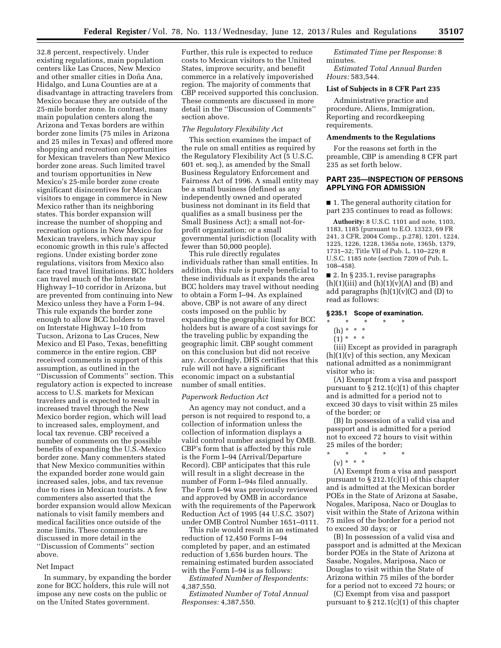32.8 percent, respectively. Under existing regulations, main population centers like Las Cruces, New Mexico and other smaller cities in Doña Ana, Hidalgo, and Luna Counties are at a disadvantage in attracting travelers from Mexico because they are outside of the 25-mile border zone. In contrast, many main population centers along the Arizona and Texas borders are within border zone limits (75 miles in Arizona and 25 miles in Texas) and offered more shopping and recreation opportunities for Mexican travelers than New Mexico border zone areas. Such limited travel and tourism opportunities in New Mexico's 25-mile border zone create significant disincentives for Mexican visitors to engage in commerce in New Mexico rather than its neighboring states. This border expansion will increase the number of shopping and recreation options in New Mexico for Mexican travelers, which may spur economic growth in this rule's affected regions. Under existing border zone regulations, visitors from Mexico also face road travel limitations. BCC holders can travel much of the Interstate Highway I–10 corridor in Arizona, but are prevented from continuing into New Mexico unless they have a Form I–94. This rule expands the border zone enough to allow BCC holders to travel on Interstate Highway I–10 from Tucson, Arizona to Las Cruces, New Mexico and El Paso, Texas, benefitting commerce in the entire region. CBP received comments in support of this assumption, as outlined in the ''Discussion of Comments'' section. This regulatory action is expected to increase access to U.S. markets for Mexican travelers and is expected to result in increased travel through the New Mexico border region, which will lead to increased sales, employment, and local tax revenue. CBP received a number of comments on the possible benefits of expanding the U.S.-Mexico border zone. Many commenters stated that New Mexico communities within the expanded border zone would gain increased sales, jobs, and tax revenue due to rises in Mexican tourists. A few commenters also asserted that the border expansion would allow Mexican nationals to visit family members and medical facilities once outside of the zone limits. These comments are discussed in more detail in the ''Discussion of Comments'' section above.

#### Net Impact

In summary, by expanding the border zone for BCC holders, this rule will not impose any new costs on the public or on the United States government.

Further, this rule is expected to reduce costs to Mexican visitors to the United States, improve security, and benefit commerce in a relatively impoverished region. The majority of comments that CBP received supported this conclusion. These comments are discussed in more detail in the ''Discussion of Comments'' section above.

# *The Regulatory Flexibility Act*

This section examines the impact of the rule on small entities as required by the Regulatory Flexibility Act (5 U.S.C. 601 et. seq.), as amended by the Small Business Regulatory Enforcement and Fairness Act of 1996. A small entity may be a small business (defined as any independently owned and operated business not dominant in its field that qualifies as a small business per the Small Business Act); a small not-forprofit organization; or a small governmental jurisdiction (locality with fewer than 50,000 people).

This rule directly regulates individuals rather than small entities. In addition, this rule is purely beneficial to these individuals as it expands the area BCC holders may travel without needing to obtain a Form I–94. As explained above, CBP is not aware of any direct costs imposed on the public by expanding the geographic limit for BCC holders but is aware of a cost savings for the traveling public by expanding the geographic limit. CBP sought comment on this conclusion but did not receive any. Accordingly, DHS certifies that this rule will not have a significant economic impact on a substantial number of small entities.

#### *Paperwork Reduction Act*

An agency may not conduct, and a person is not required to respond to, a collection of information unless the collection of information displays a valid control number assigned by OMB. CBP's form that is affected by this rule is the Form I–94 (Arrival/Departure Record). CBP anticipates that this rule will result in a slight decrease in the number of Form I–94s filed annually. The Form I–94 was previously reviewed and approved by OMB in accordance with the requirements of the Paperwork Reduction Act of 1995 (44 U.S.C. 3507) under OMB Control Number 1651–0111.

This rule would result in an estimated reduction of 12,450 Forms I–94 completed by paper, and an estimated reduction of 1,656 burden hours. The remaining estimated burden associated with the Form I–94 is as follows:

*Estimated Number of Respondents:*  4,387,550.

*Estimated Number of Total Annual Responses:* 4,387,550.

*Estimated Time per Response:* 8 minutes.

*Estimated Total Annual Burden Hours:* 583,544.

# **List of Subjects in 8 CFR Part 235**

Administrative practice and procedure, Aliens, Immigration, Reporting and recordkeeping requirements.

#### **Amendments to the Regulations**

For the reasons set forth in the preamble, CBP is amending 8 CFR part 235 as set forth below.

# **PART 235—INSPECTION OF PERSONS APPLYING FOR ADMISSION**

■ 1. The general authority citation for part 235 continues to read as follows:

**Authority:** 8 U.S.C. 1101 and note, 1103, 1183, 1185 (pursuant to E.O. 13323, 69 FR 241, 3 CFR, 2004 Comp., p.278), 1201, 1224, 1225, 1226, 1228, 1365a note, 1365b, 1379, 1731–32; Title VII of Pub. L. 110–229; 8 U.S.C. 1185 note (section 7209 of Pub. L. 108–458).

■ 2. In § 235.1, revise paragraphs (h)(1)(iii) and (h)(1)(v)(A) and (B) and add paragraphs  $(h)(1)(v)(C)$  and  $(D)$  to read as follows:

# **§ 235.1 Scope of examination.**

- \* \* \* \* \*
	- (h) \* \* \*
	- $(1) * * * *$

(iii) Except as provided in paragraph  $(h)(1)(v)$  of this section, any Mexican national admitted as a nonimmigrant visitor who is:

(A) Exempt from a visa and passport pursuant to § 212.1(c)(1) of this chapter and is admitted for a period not to exceed 30 days to visit within 25 miles of the border; or

(B) In possession of a valid visa and passport and is admitted for a period not to exceed 72 hours to visit within 25 miles of the border;

- \* \* \* \* \*
- (v) \* \* \* (A) Exempt from a visa and passport pursuant to § 212.1(c)(1) of this chapter and is admitted at the Mexican border POEs in the State of Arizona at Sasabe, Nogales, Mariposa, Naco or Douglas to visit within the State of Arizona within 75 miles of the border for a period not

to exceed 30 days; or (B) In possession of a valid visa and passport and is admitted at the Mexican border POEs in the State of Arizona at Sasabe, Nogales, Mariposa, Naco or Douglas to visit within the State of Arizona within 75 miles of the border for a period not to exceed 72 hours; or

(C) Exempt from visa and passport pursuant to  $\S 212.1(c)(1)$  of this chapter